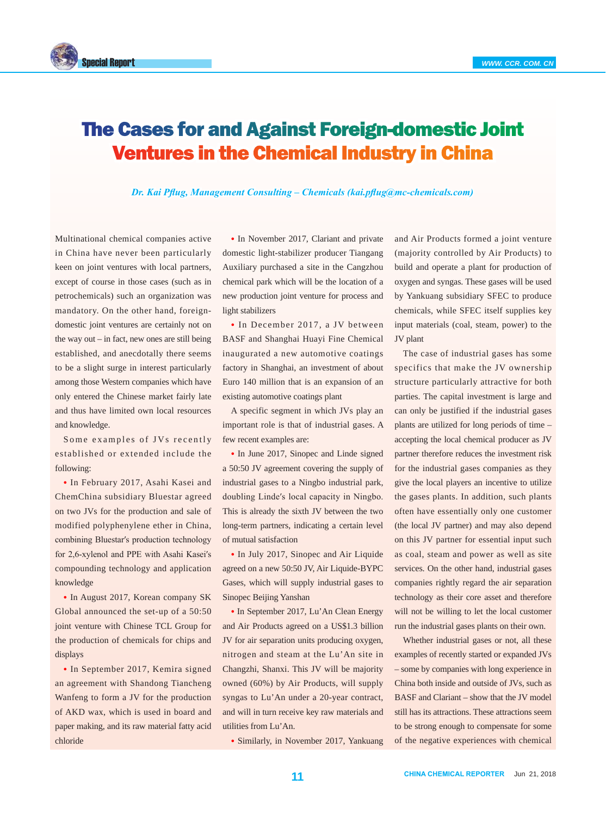

## The Cases for and Against Foreign-domestic Joint Ventures in the Chemical Industry in China

*Dr. Kai Pflug, Management Consulting – Chemicals (kai.pflug@mc-chemicals.com)*

Multinational chemical companies active in China have never been particularly keen on joint ventures with local partners, except of course in those cases (such as in petrochemicals) such an organization was mandatory. On the other hand, foreigndomestic joint ventures are certainly not on the way out – in fact, new ones are still being established, and anecdotally there seems to be a slight surge in interest particularly among those Western companies which have only entered the Chinese market fairly late and thus have limited own local resources and knowledge.

Some examples of JVs recently established or extended include the following:

● In February 2017, Asahi Kasei and ChemChina subsidiary Bluestar agreed on two JVs for the production and sale of modified polyphenylene ether in China, combining Bluestar′s production technology for 2,6-xylenol and PPE with Asahi Kasei′s compounding technology and application knowledge

• In August 2017, Korean company SK Global announced the set-up of a 50:50 joint venture with Chinese TCL Group for the production of chemicals for chips and displays

• In September 2017, Kemira signed an agreement with Shandong Tiancheng Wanfeng to form a JV for the production of AKD wax, which is used in board and paper making, and its raw material fatty acid chloride

• In November 2017, Clariant and private domestic light-stabilizer producer Tiangang Auxiliary purchased a site in the Cangzhou chemical park which will be the location of a new production joint venture for process and light stabilizers

• In December 2017, a JV between BASF and Shanghai Huayi Fine Chemical inaugurated a new automotive coatings factory in Shanghai, an investment of about Euro 140 million that is an expansion of an existing automotive coatings plant

A specific segment in which JVs play an important role is that of industrial gases. A few recent examples are:

• In June 2017, Sinopec and Linde signed a 50:50 JV agreement covering the supply of industrial gases to a Ningbo industrial park, doubling Linde′s local capacity in Ningbo. This is already the sixth JV between the two long-term partners, indicating a certain level of mutual satisfaction

• In July 2017, Sinopec and Air Liquide agreed on a new 50:50 JV, Air Liquide-BYPC Gases, which will supply industrial gases to Sinopec Beijing Yanshan

• In September 2017, Lu'An Clean Energy and Air Products agreed on a US\$1.3 billion JV for air separation units producing oxygen, nitrogen and steam at the Lu'An site in Changzhi, Shanxi. This JV will be majority owned (60%) by Air Products, will supply syngas to Lu'An under a 20-year contract, and will in turn receive key raw materials and utilities from Lu'An.

• Similarly, in November 2017, Yankuang

and Air Products formed a joint venture (majority controlled by Air Products) to build and operate a plant for production of oxygen and syngas. These gases will be used by Yankuang subsidiary SFEC to produce chemicals, while SFEC itself supplies key input materials (coal, steam, power) to the JV plant

The case of industrial gases has some specifics that make the JV ownership structure particularly attractive for both parties. The capital investment is large and can only be justified if the industrial gases plants are utilized for long periods of time – accepting the local chemical producer as JV partner therefore reduces the investment risk for the industrial gases companies as they give the local players an incentive to utilize the gases plants. In addition, such plants often have essentially only one customer (the local JV partner) and may also depend on this JV partner for essential input such as coal, steam and power as well as site services. On the other hand, industrial gases companies rightly regard the air separation technology as their core asset and therefore will not be willing to let the local customer run the industrial gases plants on their own.

Whether industrial gases or not, all these examples of recently started or expanded JVs – some by companies with long experience in China both inside and outside of JVs, such as BASF and Clariant – show that the JV model still has its attractions. These attractions seem to be strong enough to compensate for some of the negative experiences with chemical